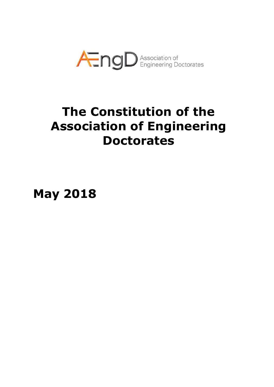

# **The Constitution of the Association of Engineering Doctorates**

**May 2018**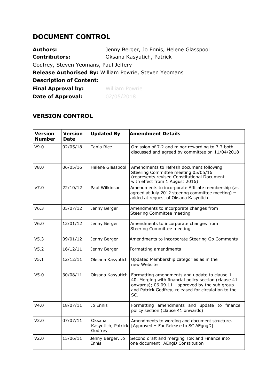### **DOCUMENT CONTROL**

| <b>Authors:</b>                       | Jenny Berger, Jo Ennis, Helene Glasspool              |  |  |  |
|---------------------------------------|-------------------------------------------------------|--|--|--|
| <b>Contributors:</b>                  | Oksana Kasyutich, Patrick                             |  |  |  |
| Godfrey, Steven Yeomans, Paul Jeffery |                                                       |  |  |  |
|                                       | Release Authorised By: William Powrie, Steven Yeomans |  |  |  |
| <b>Description of Content:</b>        |                                                       |  |  |  |
| <b>Final Approval by:</b>             | <b>William Powrie</b>                                 |  |  |  |
| <b>Date of Approval:</b>              | 02/05/2018                                            |  |  |  |

#### **VERSION CONTROL**

| <b>Version</b><br><b>Number</b> | <b>Version</b><br>Date | <b>Updated By</b>                       | <b>Amendment Details</b>                                                                                                                                                                                               |
|---------------------------------|------------------------|-----------------------------------------|------------------------------------------------------------------------------------------------------------------------------------------------------------------------------------------------------------------------|
| V9.0                            | 02/05/18               | Tania Rice                              | Omission of 7.2 and minor rewording to 7.7 both<br>discussed and agreed by committee on 11/04/2018                                                                                                                     |
| V8.0                            | 06/05/16               | Helene Glasspool                        | Amendments to refresh document following<br>Steering Committee meeting 05/05/16<br>(represents revised Constitutional Document<br>with effect from 1 August 2016)                                                      |
| v7.0                            | 22/10/12               | Paul Wilkinson                          | Amendments to incorporate Affiliate membership (as<br>agreed at July 2012 steering committee meeting) -<br>added at request of Oksana Kasyutich                                                                        |
| V6.3                            | 05/07/12               | Jenny Berger                            | Amendments to incorporate changes from<br>Steering Committee meeting                                                                                                                                                   |
| V6.0                            | 12/01/12               | Jenny Berger                            | Amendments to incorporate changes from<br>Steering Committee meeting                                                                                                                                                   |
| V5.3                            | 09/01/12               | Jenny Berger                            | Amendments to incorporate Steering Gp Comments                                                                                                                                                                         |
| V <sub>5.2</sub>                | 16/12/11               | Jenny Berger                            | Formatting amendments                                                                                                                                                                                                  |
| V5.1                            | 12/12/11               | Oksana Kasyutich                        | Updated Membership categories as in the<br>new Website                                                                                                                                                                 |
| V5.0                            | 30/08/11               | Oksana Kasyutich                        | Formatting amendments and update to clause 1-<br>40. Merging with financial policy section (clause 41<br>onwards); 06.09.11 - approved by the sub group<br>and Patrick Godfrey, released for circulation to the<br>SC. |
| V4.0                            | 18/07/11               | Jo Ennis                                | Formatting amendments and update to finance<br>policy section (clause 41 onwards)                                                                                                                                      |
| V3.0                            | 07/07/11               | Oksana<br>Kasyutich, Patrick<br>Godfrey | Amendments to wording and document structure.<br>[Approved - For Release to SC AEgngD]                                                                                                                                 |
| V2.0                            | 15/06/11               | Jenny Berger, Jo<br>Ennis               | Second draft and merging ToR and Finance into<br>one document: AEngD Constitution                                                                                                                                      |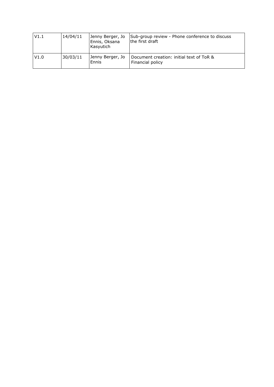| V1.1 | 14/04/11 | Jenny Berger, Jo<br>Ennis, Oksana<br>Kasyutich | Sub-group review - Phone conference to discuss<br>the first draft |
|------|----------|------------------------------------------------|-------------------------------------------------------------------|
| V1.0 | 30/03/11 | Jenny Berger, Jo<br>Ennis                      | Document creation: initial text of ToR &<br>Financial policy      |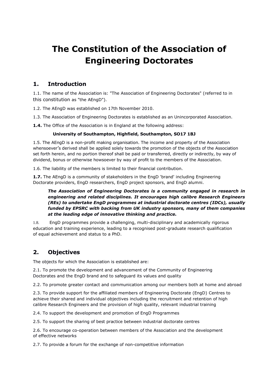## **The Constitution of the Association of Engineering Doctorates**

#### **1. Introduction**

1.1. The name of the Association is: "The Association of Engineering Doctorates" (referred to in this constitution as "the AEngD").

1.2. The AEngD was established on 17th November 2010.

1.3. The Association of Engineering Doctorates is established as an Unincorporated Association.

**1.4.** The Office of the Association is in England at the following address:

#### **University of Southampton, Highfield, Southampton, SO17 1BJ**

1.5. The AEngD is a non-profit making organisation. The income and property of the Association whensoever's derived shall be applied solely towards the promotion of the objects of the Association set forth herein, and no portion thereof shall be paid or transferred, directly or indirectly, by way of dividend, bonus or otherwise howsoever by way of profit to the members of the Association.

1.6. The liability of the members is limited to their financial contribution.

**1.7.** The AEngD is a community of stakeholders in the EngD 'brand' including Engineering Doctorate providers, EngD researchers, EngD project sponsors, and EngD alumni.

#### *The Association of Engineering Doctorates is a community engaged in research in engineering and related disciplines. It encourages high calibre Research Engineers (REs) to undertake EngD programmes at industrial doctorate centres (IDCs), usually funded by EPSRC with backing from UK industry sponsors, many of them companies at the leading edge of innovative thinking and practice.*

1.8. EngD programmes provide a challenging, multi-disciplinary and academically rigorous education and training experience, leading to a recognised post-graduate research qualification of equal achievement and status to a PhD.

#### **2. Objectives**

The objects for which the Association is established are:

2.1. To promote the development and advancement of the Community of Engineering Doctorates and the EngD brand and to safeguard its values and quality

2.2. To promote greater contact and communication among our members both at home and abroad

2.3. To provide support for the affiliated members of Engineering Doctorate (EngD) Centres to achieve their shared and individual objectives including the recruitment and retention of high calibre Research Engineers and the provision of high quality, relevant industrial training

2.4. To support the development and promotion of EngD Programmes

2.5. To support the sharing of best practice between industrial doctorate centres

2.6. To encourage co-operation between members of the Association and the development of effective networks

2.7. To provide a forum for the exchange of non-competitive information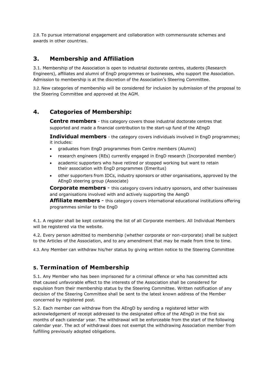2.8. To pursue international engagement and collaboration with commensurate schemes and awards in other countries.

#### **3. Membership and Affiliation**

3.1. Membership of the Association is open to industrial doctorate centres, students (Research Engineers), affiliates and alumni of EngD programmes or businesses, who support the Association. Admission to membership is at the discretion of the Association's Steering Committee.

3.2. New categories of membership will be considered for inclusion by submission of the proposal to the Steering Committee and approved at the AGM.

#### **4. Categories of Membership:**

**Centre members** - this category covers those industrial doctorate centres that supported and made a financial contribution to the start-up fund of the AEngD

**Individual members** - the category covers individuals involved in EngD programmes; it includes:

- graduates from EngD programmes from Centre members (Alumni)
- research engineers (REs) currently engaged in EngD research (Incorporated member)
- academic supporters who have retired or stopped working but want to retain their association with EngD programmes (Emeritus)
- other supporters from IDCs, industry sponsors or other organisations, approved by the AEngD steering group (Associate)

**Corporate members** - this category covers industry sponsors, and other businesses and organisations involved with and actively supporting the AengD

**Affiliate members** - this category covers international educational institutions offering programmes similar to the EngD

4.1. A register shall be kept containing the list of all Corporate members. All Individual Members will be registered via the website.

4.2. Every person admitted to membership (whether corporate or non-corporate) shall be subject to the Articles of the Association, and to any amendment that may be made from time to time.

4.3. Any Member can withdraw his/her status by giving written notice to the Steering Committee

#### **5. Termination of Membership**

5.1. Any Member who has been imprisoned for a criminal offence or who has committed acts that caused unfavorable effect to the interests of the Association shall be considered for expulsion from their membership status by the Steering Committee. Written notification of any decision of the Steering Committee shall be sent to the latest known address of the Member concerned by registered post.

5.2. Each member can withdraw from the AEngD by sending a registered letter with acknowledgement of receipt addressed to the designated office of the AEngD in the first six months of each calendar year. The withdrawal will be enforceable from the start of the following calendar year. The act of withdrawal does not exempt the withdrawing Association member from fulfilling previously adopted obligations.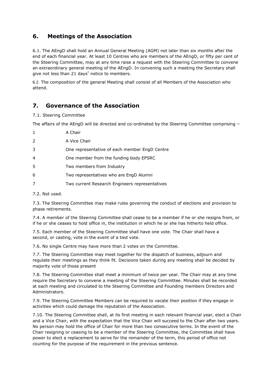#### **6. Meetings of the Association**

6.1. The AEngD shall hold an Annual General Meeting (AGM) not later than six months after the end of each financial year. At least 10 Centres who are members of the AEngD, or fifty per cent of the Steering Committee, may at any time raise a request with the Steering Committee to convene an extraordinary general meeting of the AEngD. In convening such a meeting the Secretary shall give not less than 21 days' notice to members.

6.2. The composition of the general Meeting shall consist of all Members of the Association who attend.

#### **7. Governance of the Association**

7.1. Steering Committee

The affairs of the AEngD will be directed and co-ordinated by the Steering Committee comprising –

| $\mathbf{1}$ | A Chair                                        |
|--------------|------------------------------------------------|
| 2            | A Vice Chair                                   |
| 3            | One representative of each member EngD Centre  |
| 4            | One member from the funding body EPSRC         |
| 5            | Two members from Industry                      |
| 6            | Two representatives who are EngD Alumni        |
| 7            | Two current Research Engineers representatives |

7.2. Not used.

7.3. The Steering Committee may make rules governing the conduct of elections and provision to phase retirements.

7.4. A member of the Steering Committee shall cease to be a member if he or she resigns from, or if he or she ceases to hold office in, the institution in which he or she has hitherto held office.

7.5. Each member of the Steering Committee shall have one vote. The Chair shall have a second, or casting, vote in the event of a tied vote.

7.6. No single Centre may have more than 2 votes on the Committee.

7.7. The Steering Committee may meet together for the dispatch of business, adjourn and regulate their meetings as they think fit. Decisions taken during any meeting shall be decided by majority vote of those present

7.8. The Steering Committee shall meet a minimum of twice per year. The Chair may at any time require the Secretary to convene a meeting of the Steering Committee. Minutes shall be recorded at each meeting and circulated to the Steering Committee and Founding members Directors and Administrators.

7.9. The Steering Committee Members can be required to vacate their position if they engage in activities which could damage the reputation of the Association.

7.10. The Steering Committee shall, at its first meeting in each relevant financial year, elect a Chair and a Vice Chair, with the expectation that the Vice Chair will succeed to the Chair after two years. No person may hold the office of Chair for more than two consecutive terms. In the event of the Chair resigning or ceasing to be a member of the Steering Committee, the Committee shall have power to elect a replacement to serve for the remainder of the term, this period of office not counting for the purpose of the requirement in the previous sentence.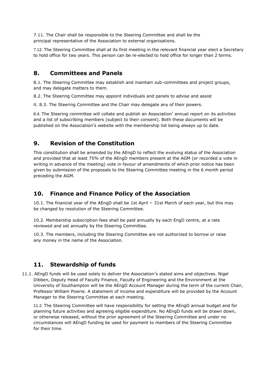7.11. The Chair shall be responsible to the Steering Committee and shall be the principal representative of the Association to external organisations.

7.12. The Steering Committee shall at its first meeting in the relevant financial year elect a Secretary to hold office for two years. This person can be re-elected to hold office for longer than 2 terms.

#### **8. Committees and Panels**

8.1. The Steering Committee may establish and maintain sub-committees and project groups, and may delegate matters to them.

8.2. The Steering Committee may appoint individuals and panels to advise and assist

it. 8.3. The Steering Committee and the Chair may delegate any of their powers.

8.4. The Steering committee will collate and publish an Association' annual report on its activities and a list of subscribing members (subject to their consent). Both these documents will be published on the Association's website with the membership list being always up to date.

#### **9. Revision of the Constitution**

This constitution shall be amended by the AEngD to reflect the evolving status of the Association and provided that at least 75% of the AEngD members present at the AGM (or recorded a vote in writing in advance of the meeting) vote in favour of amendments of which prior notice has been given by submission of the proposals to the Steering Committee meeting in the 6 month period preceding the AGM.

#### **10. Finance and Finance Policy of the Association**

10.1. The financial year of the AEngD shall be 1st April – 31st March of each year, but this may be changed by resolution of the Steering Committee.

10.2. Membership subscription fees shall be paid annually by each EngD centre, at a rate reviewed and set annually by the Steering Committee.

10.3. The members, including the Steering Committee are not authorized to borrow or raise any money in the name of the Association.

#### **11. Stewardship of funds**

11.1. AEngD funds will be used solely to deliver the Association's stated aims and objectives. Nigel Dibben, Deputy Head of Faculty Finance, Faculty of Engineering and the Environment at the University of Southampton will be the AEngD Account Manager during the term of the current Chair, Professor William Powrie. A statement of income and expenditure will be provided by the Account Manager to the Steering Committee at each meeting.

11.2. The Steering Committee will have responsibility for setting the AEngD annual budget and for planning future activities and agreeing eligible expenditure. No AEngD funds will be drawn down, or otherwise released, without the prior agreement of the Steering Committee and under no circumstances will AEngD funding be used for payment to members of the Steering Committee for their time.